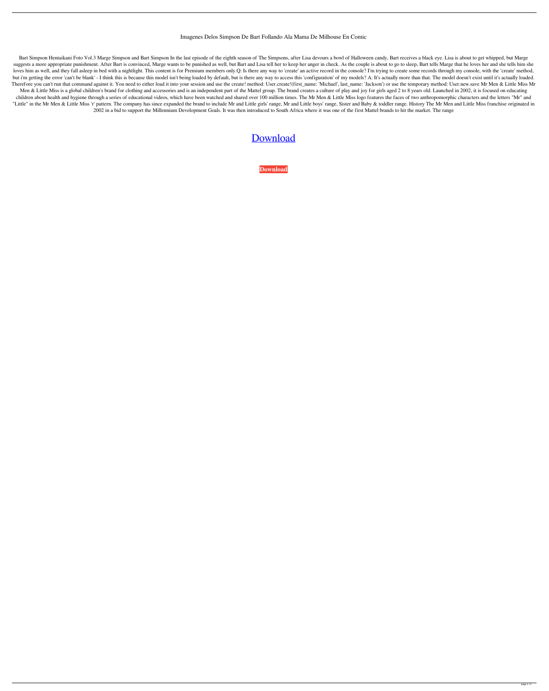## Imagenes Delos Simpson De Bart Follando Ala Mama De Milhouse En Comic

Bart Simpson Hentaikani Foto Vol.3 Marge Simpson and Bart Simpson In the last episode of the eighth season of The Simpsons, after Lisa devours a bowl of Halloween candy, Bart receives a black eye. Lisa is about to get whip suggests a more appropriate punishment. After Bart is convinced, Marge wants to be punished as well, but Bart and Lisa tell her to keep her anger in check. As the couple is about to go to sleep, Bart tells Marge that he lo loves him as well, and they fall asleep in bed with a nightlight. This content is for Premium members only.Q: Is there any way to 'create' an active record in the console? I'm trying to create some records through my conso but i'm getting the error 'can't be blank' - I think this is because this model isn't being loaded by default, but is there any way to access this 'configuration' of my models? A: It's actually more than that. The model do Therefore you can't run that command against it. You need to either load it into your session and use the create! method: User.create!(first\_name: 'Jackson') or use the temporary method: User.new.save Mr Men & Little Miss Men & Little Miss is a global children's brand for clothing and accessories and is an independent part of the Mattel group. The brand creates a culture of play and joy for girls aged 2 to 8 years old. Launched in 2002, it children about health and hygiene through a series of educational videos, which have been watched and shared over 100 million times. The Mr Men & Little Miss logo features the faces of two anthropomorphic characters and th "Little" in the Mr Men & Little Miss 'r' pattern. The company has since expanded the brand to include Mr and Little girls' range, Mr and Little boys' range, Sister and Baby & toddler range. History The Mr Men and Little Mi 2002 in a bid to support the Millennium Development Goals. It was then introduced to South Africa where it was one of the first Mattel brands to hit the market. The range

## [Download](http://evacdir.com/bishops/aW1hZ2VuZXMgZGVsb3Mgc2ltcHNvbiBkZSBiYXJ0IGZvbGxhbmRvIGFsYSBtYW1hIGRlIG1pbGhvdXNlIGVuIGNvbWljaW1/dedicate/effeminacy.flamandes/pantothenate/emergence/methodology/ZG93bmxvYWR8b0swTWpkMGJIeDhNVFkxTWpjME1EZzJObng4TWpVM05IeDhLRTBwSUhKbFlXUXRZbXh2WnlCYlJtRnpkQ0JIUlU1ZA/)

**[Download](http://evacdir.com/bishops/aW1hZ2VuZXMgZGVsb3Mgc2ltcHNvbiBkZSBiYXJ0IGZvbGxhbmRvIGFsYSBtYW1hIGRlIG1pbGhvdXNlIGVuIGNvbWljaW1/dedicate/effeminacy.flamandes/pantothenate/emergence/methodology/ZG93bmxvYWR8b0swTWpkMGJIeDhNVFkxTWpjME1EZzJObng4TWpVM05IeDhLRTBwSUhKbFlXUXRZbXh2WnlCYlJtRnpkQ0JIUlU1ZA/)**